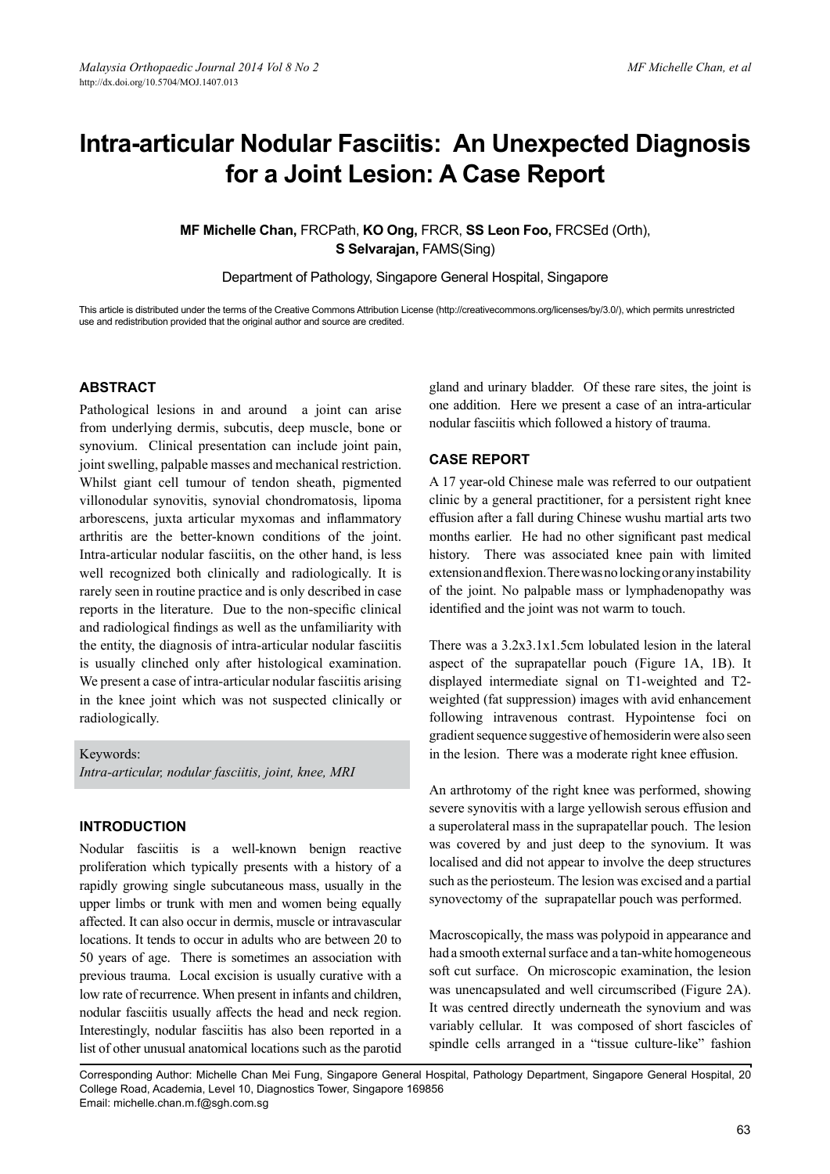# **Intra-articular Nodular Fasciitis: An Unexpected Diagnosis for a Joint Lesion: A Case Report**

## **MF Michelle Chan,** FRCPath, **KO Ong,** FRCR, **SS Leon Foo,** FRCSEd (Orth), **S Selvarajan,** FAMS(Sing)

Department of Pathology, Singapore General Hospital, Singapore

This article is distributed under the terms of the Creative Commons Attribution License (http://creativecommons.org/licenses/by/3.0/), which permits unrestricted use and redistribution provided that the original author and source are credited.

#### **Abstract**

Pathological lesions in and around a joint can arise from underlying dermis, subcutis, deep muscle, bone or synovium. Clinical presentation can include joint pain, joint swelling, palpable masses and mechanical restriction. Whilst giant cell tumour of tendon sheath, pigmented villonodular synovitis, synovial chondromatosis, lipoma arborescens, juxta articular myxomas and inflammatory arthritis are the better-known conditions of the joint. Intra-articular nodular fasciitis, on the other hand, is less well recognized both clinically and radiologically. It is rarely seen in routine practice and is only described in case reports in the literature. Due to the non-specific clinical and radiological findings as well as the unfamiliarity with the entity, the diagnosis of intra-articular nodular fasciitis is usually clinched only after histological examination. We present a case of intra-articular nodular fasciitis arising in the knee joint which was not suspected clinically or radiologically.

Keywords: *Intra-articular, nodular fasciitis, joint, knee, MRI*

#### **Introduction**

Nodular fasciitis is a well-known benign reactive proliferation which typically presents with a history of a rapidly growing single subcutaneous mass, usually in the upper limbs or trunk with men and women being equally affected. It can also occur in dermis, muscle or intravascular locations. It tends to occur in adults who are between 20 to 50 years of age. There is sometimes an association with previous trauma. Local excision is usually curative with a low rate of recurrence. When present in infants and children, nodular fasciitis usually affects the head and neck region. Interestingly, nodular fasciitis has also been reported in a list of other unusual anatomical locations such as the parotid

gland and urinary bladder. Of these rare sites, the joint is one addition. Here we present a case of an intra-articular nodular fasciitis which followed a history of trauma.

#### **Case Report**

A 17 year-old Chinese male was referred to our outpatient clinic by a general practitioner, for a persistent right knee effusion after a fall during Chinese wushu martial arts two months earlier. He had no other significant past medical history. There was associated knee pain with limited extension and flexion. There was no locking or any instability of the joint. No palpable mass or lymphadenopathy was identified and the joint was not warm to touch.

There was a 3.2x3.1x1.5cm lobulated lesion in the lateral aspect of the suprapatellar pouch (Figure 1A, 1B). It displayed intermediate signal on T1-weighted and T2 weighted (fat suppression) images with avid enhancement following intravenous contrast. Hypointense foci on gradient sequence suggestive of hemosiderin were also seen in the lesion. There was a moderate right knee effusion.

An arthrotomy of the right knee was performed, showing severe synovitis with a large yellowish serous effusion and a superolateral mass in the suprapatellar pouch. The lesion was covered by and just deep to the synovium. It was localised and did not appear to involve the deep structures such as the periosteum. The lesion was excised and a partial synovectomy of the suprapatellar pouch was performed.

Macroscopically, the mass was polypoid in appearance and had a smooth external surface and a tan-white homogeneous soft cut surface. On microscopic examination, the lesion was unencapsulated and well circumscribed (Figure 2A). It was centred directly underneath the synovium and was variably cellular. It was composed of short fascicles of spindle cells arranged in a "tissue culture-like" fashion

Corresponding Author: Michelle Chan Mei Fung, Singapore General Hospital, Pathology Department, Singapore General Hospital, 20 College Road, Academia, Level 10, Diagnostics Tower, Singapore 169856 Email: michelle.chan.m.f@sgh.com.sg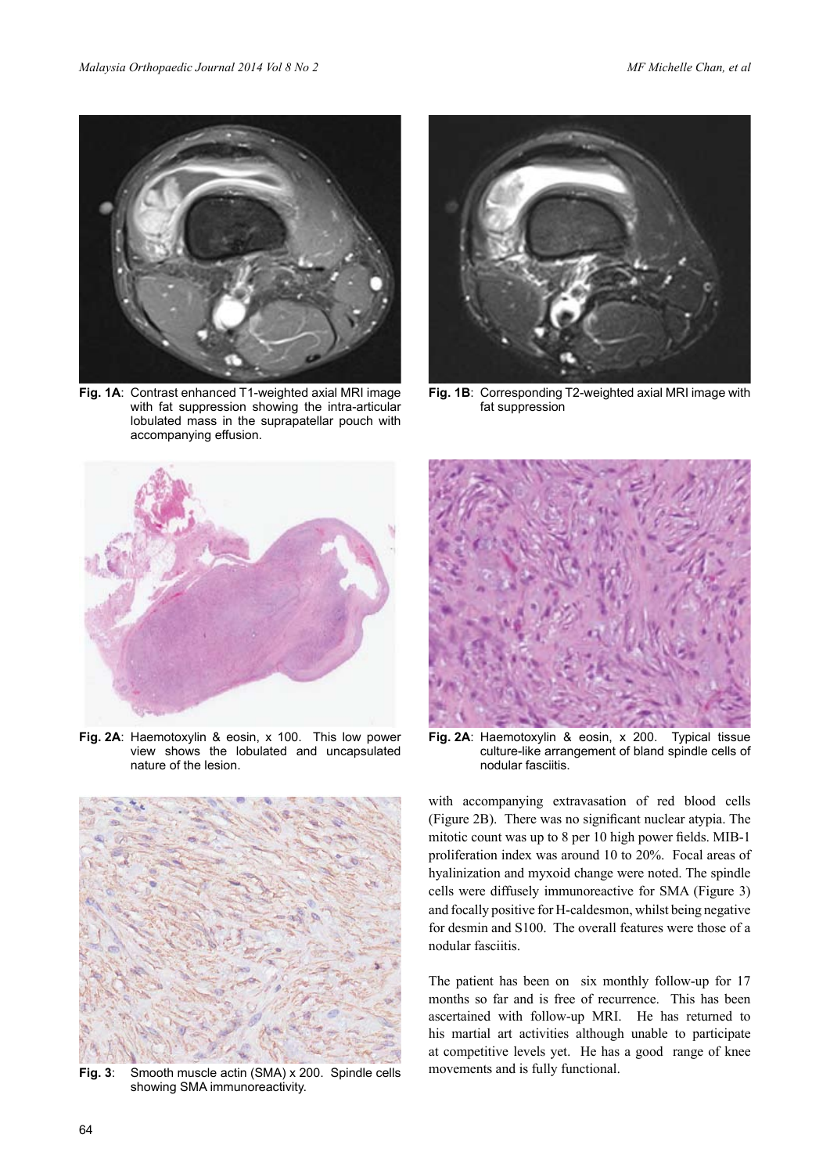

**Fig. 1A**: Contrast enhanced T1-weighted axial MRI image with fat suppression showing the intra-articular lobulated mass in the suprapatellar pouch with accompanying effusion.



**Fig. 1B**: Corresponding T2-weighted axial MRI image with fat suppression



**Fig. 2A**: Haemotoxylin & eosin, x 100. This low power view shows the lobulated and uncapsulated nature of the lesion.



**Fig. 3**: Smooth muscle actin (SMA) x 200. Spindle cells showing SMA immunoreactivity.



**Fig. 2A**: Haemotoxylin & eosin, x 200. Typical tissue culture-like arrangement of bland spindle cells of nodular fasciitis.

with accompanying extravasation of red blood cells (Figure 2B). There was no significant nuclear atypia. The mitotic count was up to 8 per 10 high power fields. MIB-1 proliferation index was around 10 to 20%. Focal areas of hyalinization and myxoid change were noted. The spindle cells were diffusely immunoreactive for SMA (Figure 3) and focally positive for H-caldesmon, whilst being negative for desmin and S100. The overall features were those of a nodular fasciitis.

The patient has been on six monthly follow-up for 17 months so far and is free of recurrence. This has been ascertained with follow-up MRI. He has returned to his martial art activities although unable to participate at competitive levels yet. He has a good range of knee movements and is fully functional.